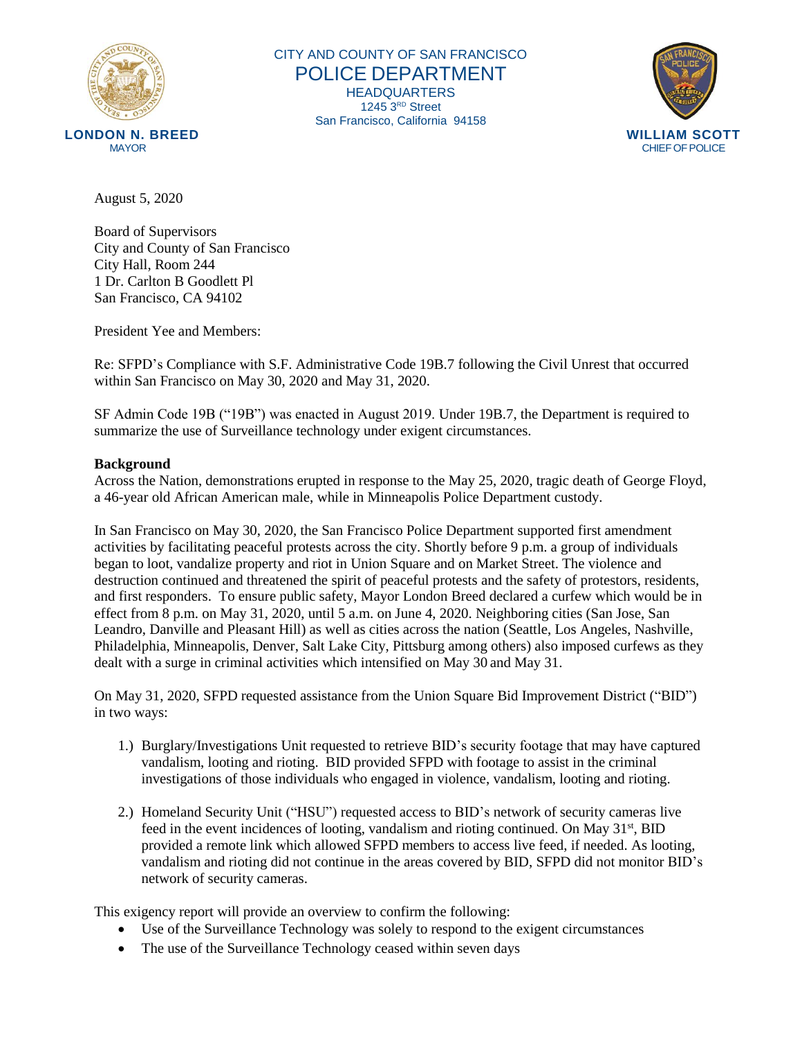

CITY AND COUNTY OF SAN FRANCISCO POLICE DEPARTMENT HEADQUARTERS 1245 3RD Street San Francisco, California 94158



August 5, 2020

Board of Supervisors City and County of San Francisco City Hall, Room 244 1 Dr. Carlton B Goodlett Pl San Francisco, CA 94102

President Yee and Members:

Re: SFPD's Compliance with S.F. Administrative Code 19B.7 following the Civil Unrest that occurred within San Francisco on May 30, 2020 and May 31, 2020.

SF Admin Code 19B ("19B") was enacted in August 2019. Under 19B.7, the Department is required to summarize the use of Surveillance technology under exigent circumstances.

# **Background**

Across the Nation, demonstrations erupted in response to the May 25, 2020, tragic death of George Floyd, a 46-year old African American male, while in Minneapolis Police Department custody.

In San Francisco on May 30, 2020, the San Francisco Police Department supported first amendment activities by facilitating peaceful protests across the city. Shortly before 9 p.m. a group of individuals began to loot, vandalize property and riot in Union Square and on Market Street. The violence and destruction continued and threatened the spirit of peaceful protests and the safety of protestors, residents, and first responders. To ensure public safety, Mayor London Breed declared a curfew which would be in effect from 8 p.m. on May 31, 2020, until 5 a.m. on June 4, 2020. Neighboring cities (San Jose, San Leandro, Danville and Pleasant Hill) as well as cities across the nation (Seattle, Los Angeles, Nashville, Philadelphia, Minneapolis, Denver, Salt Lake City, Pittsburg among others) also imposed curfews as they dealt with a surge in criminal activities which intensified on May 30 and May 31.

On May 31, 2020, SFPD requested assistance from the Union Square Bid Improvement District ("BID") in two ways:

- 1.) Burglary/Investigations Unit requested to retrieve BID's security footage that may have captured vandalism, looting and rioting. BID provided SFPD with footage to assist in the criminal investigations of those individuals who engaged in violence, vandalism, looting and rioting.
- 2.) Homeland Security Unit ("HSU") requested access to BID's network of security cameras live feed in the event incidences of looting, vandalism and rioting continued. On May 31<sup>st</sup>, BID provided a remote link which allowed SFPD members to access live feed, if needed. As looting, vandalism and rioting did not continue in the areas covered by BID, SFPD did not monitor BID's network of security cameras.

This exigency report will provide an overview to confirm the following:

- Use of the Surveillance Technology was solely to respond to the exigent circumstances
- The use of the Surveillance Technology ceased within seven days